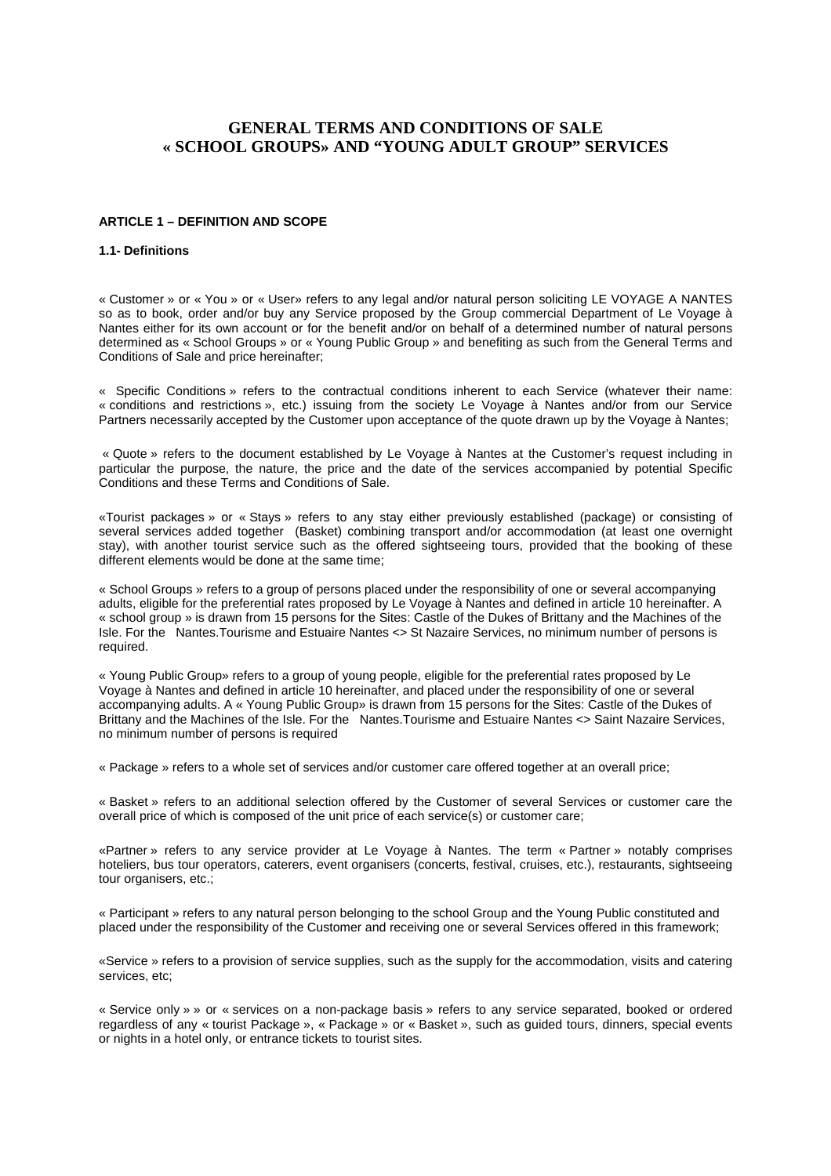# **GENERAL TERMS AND CONDITIONS OF SALE « SCHOOL GROUPS» AND "YOUNG ADULT GROUP" SERVICES**

## **ARTICLE 1 – DEFINITION AND SCOPE**

#### **1.1- Definitions**

« Customer » or « You » or « User» refers to any legal and/or natural person soliciting LE VOYAGE A NANTES so as to book, order and/or buy any Service proposed by the Group commercial Department of Le Voyage à Nantes either for its own account or for the benefit and/or on behalf of a determined number of natural persons determined as « School Groups » or « Young Public Group » and benefiting as such from the General Terms and Conditions of Sale and price hereinafter;

« Specific Conditions » refers to the contractual conditions inherent to each Service (whatever their name: « conditions and restrictions », etc.) issuing from the society Le Voyage à Nantes and/or from our Service Partners necessarily accepted by the Customer upon acceptance of the quote drawn up by the Voyage à Nantes;

 « Quote » refers to the document established by Le Voyage à Nantes at the Customer's request including in particular the purpose, the nature, the price and the date of the services accompanied by potential Specific Conditions and these Terms and Conditions of Sale.

«Tourist packages » or « Stays » refers to any stay either previously established (package) or consisting of several services added together (Basket) combining transport and/or accommodation (at least one overnight stay), with another tourist service such as the offered sightseeing tours, provided that the booking of these different elements would be done at the same time;

« School Groups » refers to a group of persons placed under the responsibility of one or several accompanying adults, eligible for the preferential rates proposed by Le Voyage à Nantes and defined in article 10 hereinafter. A « school group » is drawn from 15 persons for the Sites: Castle of the Dukes of Brittany and the Machines of the Isle. For the Nantes.Tourisme and Estuaire Nantes <> St Nazaire Services, no minimum number of persons is required.

« Young Public Group» refers to a group of young people, eligible for the preferential rates proposed by Le Voyage à Nantes and defined in article 10 hereinafter, and placed under the responsibility of one or several accompanying adults. A « Young Public Group» is drawn from 15 persons for the Sites: Castle of the Dukes of Brittany and the Machines of the Isle. For the Nantes.Tourisme and Estuaire Nantes <> Saint Nazaire Services, no minimum number of persons is required

« Package » refers to a whole set of services and/or customer care offered together at an overall price;

« Basket » refers to an additional selection offered by the Customer of several Services or customer care the overall price of which is composed of the unit price of each service(s) or customer care;

«Partner » refers to any service provider at Le Voyage à Nantes. The term « Partner » notably comprises hoteliers, bus tour operators, caterers, event organisers (concerts, festival, cruises, etc.), restaurants, sightseeing tour organisers, etc.;

« Participant » refers to any natural person belonging to the school Group and the Young Public constituted and placed under the responsibility of the Customer and receiving one or several Services offered in this framework;

«Service » refers to a provision of service supplies, such as the supply for the accommodation, visits and catering services, etc;

« Service only » » or « services on a non-package basis » refers to any service separated, booked or ordered regardless of any « tourist Package », « Package » or « Basket », such as guided tours, dinners, special events or nights in a hotel only, or entrance tickets to tourist sites.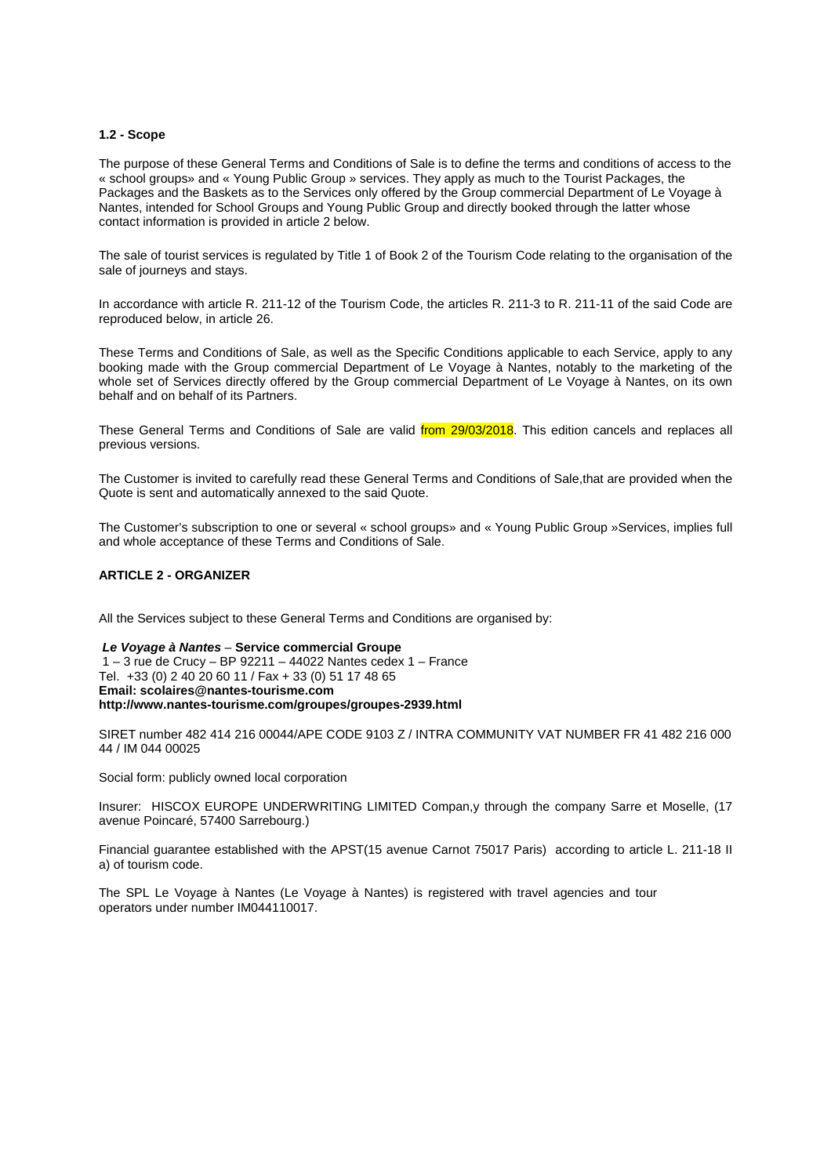#### **1.2 - Scope**

The purpose of these General Terms and Conditions of Sale is to define the terms and conditions of access to the « school groups» and « Young Public Group » services. They apply as much to the Tourist Packages, the Packages and the Baskets as to the Services only offered by the Group commercial Department of Le Voyage à Nantes, intended for School Groups and Young Public Group and directly booked through the latter whose contact information is provided in article 2 below.

The sale of tourist services is regulated by Title 1 of Book 2 of the Tourism Code relating to the organisation of the sale of journeys and stays.

In accordance with article R. 211-12 of the Tourism Code, the articles R. 211-3 to R. 211-11 of the said Code are reproduced below, in article 26.

These Terms and Conditions of Sale, as well as the Specific Conditions applicable to each Service, apply to any booking made with the Group commercial Department of Le Voyage à Nantes, notably to the marketing of the whole set of Services directly offered by the Group commercial Department of Le Voyage à Nantes, on its own behalf and on behalf of its Partners.

These General Terms and Conditions of Sale are valid *from 29/03/2018*. This edition cancels and replaces all previous versions.

The Customer is invited to carefully read these General Terms and Conditions of Sale,that are provided when the Quote is sent and automatically annexed to the said Quote.

The Customer's subscription to one or several « school groups» and « Young Public Group »Services, implies full and whole acceptance of these Terms and Conditions of Sale.

### **ARTICLE 2 - ORGANIZER**

All the Services subject to these General Terms and Conditions are organised by:

#### **Le Voyage à Nantes** – **Service commercial Groupe**

 1 – 3 rue de Crucy – BP 92211 – 44022 Nantes cedex 1 – France Tel. +33 (0) 2 40 20 60 11 / Fax + 33 (0) 51 17 48 65 **Email: scolaires@nantes-tourisme.com http://www.nantes-tourisme.com/groupes/groupes-2939.html** 

SIRET number 482 414 216 00044/APE CODE 9103 Z / INTRA COMMUNITY VAT NUMBER FR 41 482 216 000 44 / IM 044 00025

Social form: publicly owned local corporation

Insurer: HISCOX EUROPE UNDERWRITING LIMITED Compan,y through the company Sarre et Moselle, (17 avenue Poincaré, 57400 Sarrebourg.)

Financial guarantee established with the APST(15 avenue Carnot 75017 Paris) according to article L. 211-18 II a) of tourism code.

The SPL Le Voyage à Nantes (Le Voyage à Nantes) is registered with travel agencies and tour operators under number IM044110017.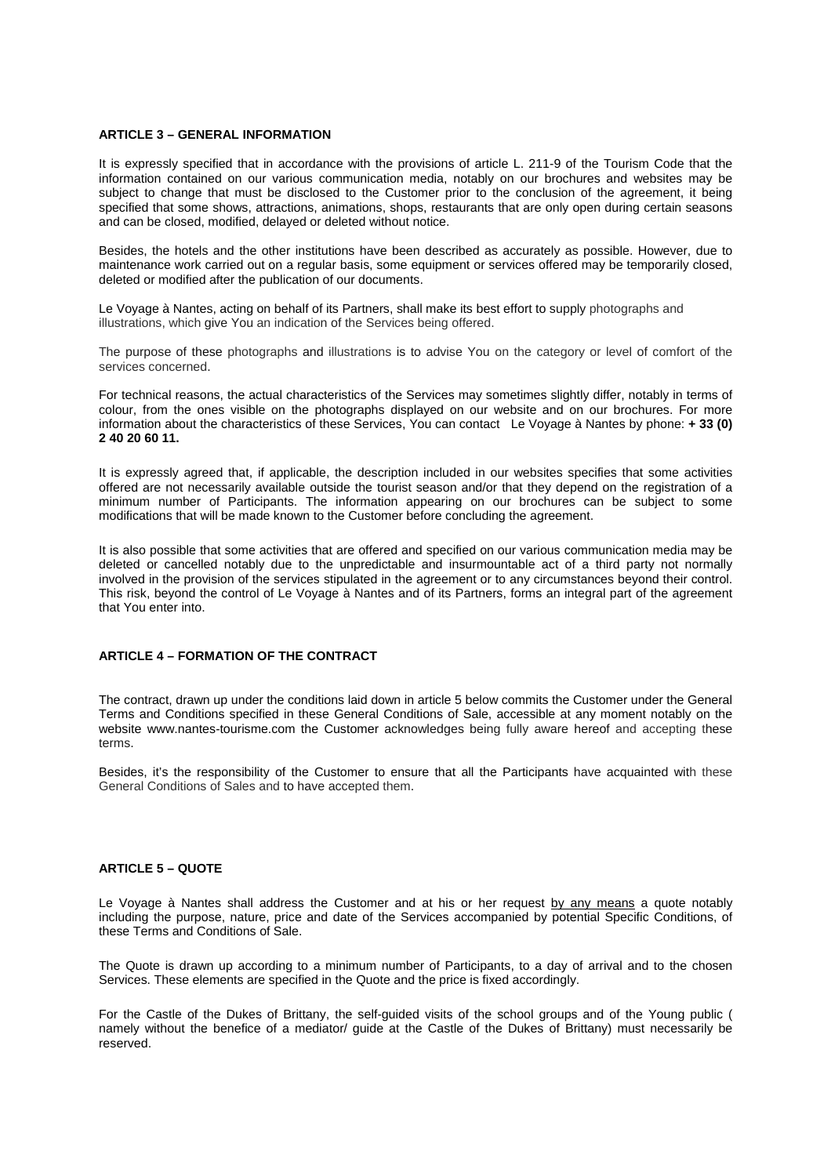### **ARTICLE 3 – GENERAL INFORMATION**

It is expressly specified that in accordance with the provisions of article L. 211-9 of the Tourism Code that the information contained on our various communication media, notably on our brochures and websites may be subject to change that must be disclosed to the Customer prior to the conclusion of the agreement, it being specified that some shows, attractions, animations, shops, restaurants that are only open during certain seasons and can be closed, modified, delayed or deleted without notice.

Besides, the hotels and the other institutions have been described as accurately as possible. However, due to maintenance work carried out on a regular basis, some equipment or services offered may be temporarily closed, deleted or modified after the publication of our documents.

Le Voyage à Nantes, acting on behalf of its Partners, shall make its best effort to supply photographs and illustrations, which give You an indication of the Services being offered.

The purpose of these photographs and illustrations is to advise You on the category or level of comfort of the services concerned.

For technical reasons, the actual characteristics of the Services may sometimes slightly differ, notably in terms of colour, from the ones visible on the photographs displayed on our website and on our brochures. For more information about the characteristics of these Services, You can contact Le Voyage à Nantes by phone: **+ 33 (0) 2 40 20 60 11.**

It is expressly agreed that, if applicable, the description included in our websites specifies that some activities offered are not necessarily available outside the tourist season and/or that they depend on the registration of a minimum number of Participants. The information appearing on our brochures can be subject to some modifications that will be made known to the Customer before concluding the agreement.

It is also possible that some activities that are offered and specified on our various communication media may be deleted or cancelled notably due to the unpredictable and insurmountable act of a third party not normally involved in the provision of the services stipulated in the agreement or to any circumstances beyond their control. This risk, beyond the control of Le Voyage à Nantes and of its Partners, forms an integral part of the agreement that You enter into.

# **ARTICLE 4 – FORMATION OF THE CONTRACT**

The contract, drawn up under the conditions laid down in article 5 below commits the Customer under the General Terms and Conditions specified in these General Conditions of Sale, accessible at any moment notably on the website www.nantes-tourisme.com the Customer acknowledges being fully aware hereof and accepting these terms.

Besides, it's the responsibility of the Customer to ensure that all the Participants have acquainted with these General Conditions of Sales and to have accepted them.

# **ARTICLE 5 – QUOTE**

Le Voyage à Nantes shall address the Customer and at his or her request by any means a quote notably including the purpose, nature, price and date of the Services accompanied by potential Specific Conditions, of these Terms and Conditions of Sale.

The Quote is drawn up according to a minimum number of Participants, to a day of arrival and to the chosen Services. These elements are specified in the Quote and the price is fixed accordingly.

For the Castle of the Dukes of Brittany, the self-guided visits of the school groups and of the Young public ( namely without the benefice of a mediator/ guide at the Castle of the Dukes of Brittany) must necessarily be reserved.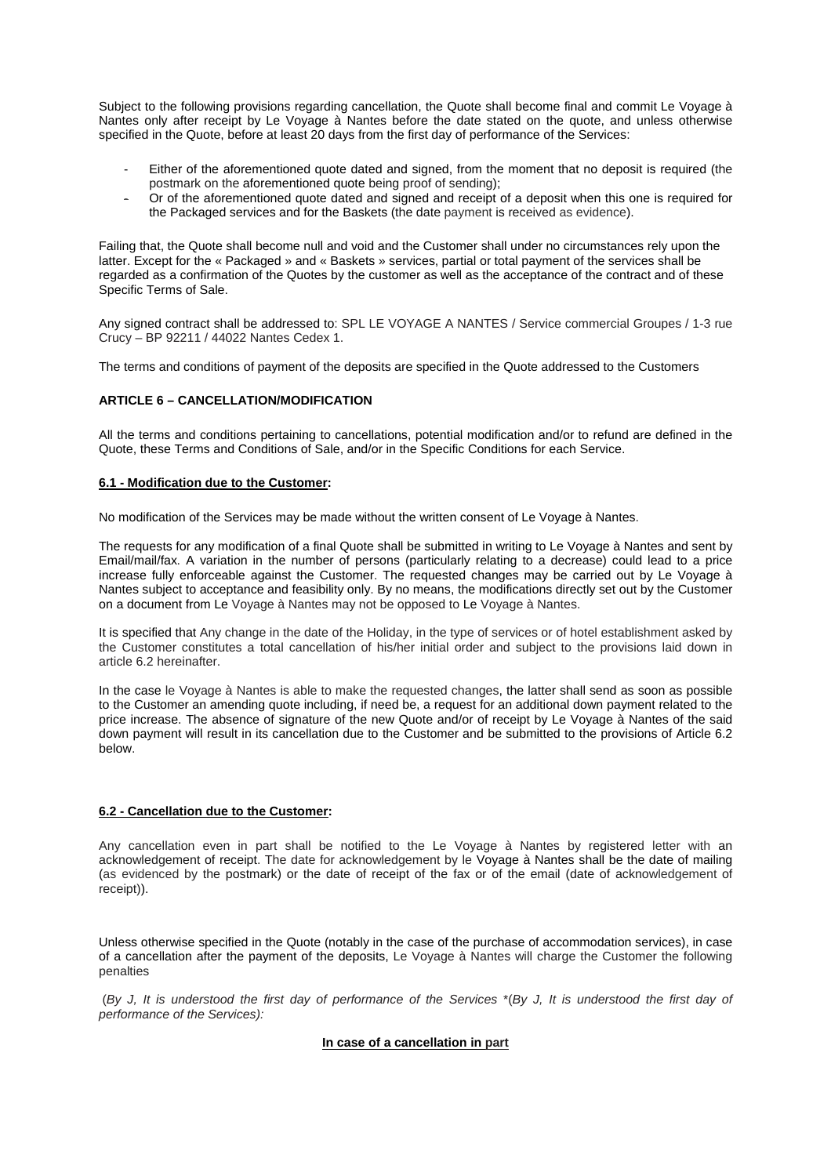Subject to the following provisions regarding cancellation, the Quote shall become final and commit Le Voyage à Nantes only after receipt by Le Voyage à Nantes before the date stated on the quote, and unless otherwise specified in the Quote, before at least 20 days from the first day of performance of the Services:

- Either of the aforementioned quote dated and signed, from the moment that no deposit is required (the postmark on the aforementioned quote being proof of sending);
- Or of the aforementioned quote dated and signed and receipt of a deposit when this one is required for the Packaged services and for the Baskets (the date payment is received as evidence).

Failing that, the Quote shall become null and void and the Customer shall under no circumstances rely upon the latter. Except for the « Packaged » and « Baskets » services, partial or total payment of the services shall be regarded as a confirmation of the Quotes by the customer as well as the acceptance of the contract and of these Specific Terms of Sale.

Any signed contract shall be addressed to: SPL LE VOYAGE A NANTES / Service commercial Groupes / 1-3 rue Crucy – BP 92211 / 44022 Nantes Cedex 1.

The terms and conditions of payment of the deposits are specified in the Quote addressed to the Customers

# **ARTICLE 6 – CANCELLATION/MODIFICATION**

All the terms and conditions pertaining to cancellations, potential modification and/or to refund are defined in the Quote, these Terms and Conditions of Sale, and/or in the Specific Conditions for each Service.

## **6.1 - Modification due to the Customer:**

No modification of the Services may be made without the written consent of Le Voyage à Nantes.

The requests for any modification of a final Quote shall be submitted in writing to Le Voyage à Nantes and sent by Email/mail/fax. A variation in the number of persons (particularly relating to a decrease) could lead to a price increase fully enforceable against the Customer. The requested changes may be carried out by Le Voyage à Nantes subject to acceptance and feasibility only. By no means, the modifications directly set out by the Customer on a document from Le Voyage à Nantes may not be opposed to Le Voyage à Nantes.

It is specified that Any change in the date of the Holiday, in the type of services or of hotel establishment asked by the Customer constitutes a total cancellation of his/her initial order and subject to the provisions laid down in article 6.2 hereinafter.

In the case le Voyage à Nantes is able to make the requested changes, the latter shall send as soon as possible to the Customer an amending quote including, if need be, a request for an additional down payment related to the price increase. The absence of signature of the new Quote and/or of receipt by Le Voyage à Nantes of the said down payment will result in its cancellation due to the Customer and be submitted to the provisions of Article 6.2 below.

### **6.2 - Cancellation due to the Customer:**

Any cancellation even in part shall be notified to the Le Voyage à Nantes by registered letter with an acknowledgement of receipt. The date for acknowledgement by le Voyage à Nantes shall be the date of mailing (as evidenced by the postmark) or the date of receipt of the fax or of the email (date of acknowledgement of receipt)).

Unless otherwise specified in the Quote (notably in the case of the purchase of accommodation services), in case of a cancellation after the payment of the deposits, Le Voyage à Nantes will charge the Customer the following penalties

 (By J, It is understood the first day of performance of the Services \*(By J, It is understood the first day of performance of the Services):

### **In case of a cancellation in part**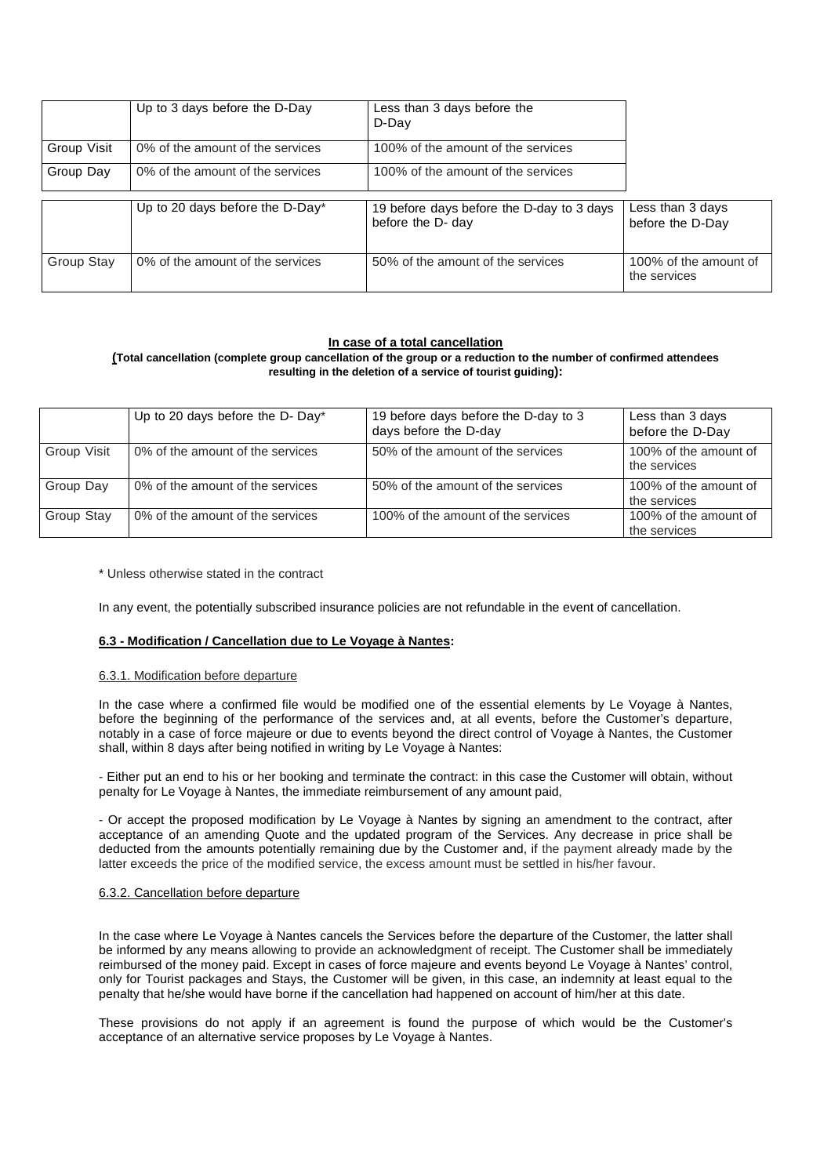|             | Up to 3 days before the D-Day    | Less than 3 days before the<br>D-Day                           |                                       |
|-------------|----------------------------------|----------------------------------------------------------------|---------------------------------------|
| Group Visit | 0% of the amount of the services | 100% of the amount of the services                             |                                       |
| Group Day   | 0% of the amount of the services | 100% of the amount of the services                             |                                       |
|             | Up to 20 days before the D-Day*  | 19 before days before the D-day to 3 days<br>before the D- day | Less than 3 days<br>before the D-Day  |
| Group Stay  | 0% of the amount of the services | 50% of the amount of the services                              | 100% of the amount of<br>the services |

## **In case of a total cancellation**

## **(Total cancellation (complete group cancellation of the group or a reduction to the number of confirmed attendees resulting in the deletion of a service of tourist guiding):**

|             | Up to 20 days before the D- Day* | 19 before days before the D-day to 3<br>days before the D-day | Less than 3 days<br>before the D-Day  |
|-------------|----------------------------------|---------------------------------------------------------------|---------------------------------------|
| Group Visit | 0% of the amount of the services | 50% of the amount of the services                             | 100% of the amount of<br>the services |
| Group Day   | 0% of the amount of the services | 50% of the amount of the services                             | 100% of the amount of<br>the services |
| Group Stay  | 0% of the amount of the services | 100% of the amount of the services                            | 100% of the amount of<br>the services |

\* Unless otherwise stated in the contract

In any event, the potentially subscribed insurance policies are not refundable in the event of cancellation.

# **6.3 - Modification / Cancellation due to Le Voyage à Nantes:**

### 6.3.1. Modification before departure

In the case where a confirmed file would be modified one of the essential elements by Le Voyage à Nantes, before the beginning of the performance of the services and, at all events, before the Customer's departure, notably in a case of force majeure or due to events beyond the direct control of Voyage à Nantes, the Customer shall, within 8 days after being notified in writing by Le Voyage à Nantes:

- Either put an end to his or her booking and terminate the contract: in this case the Customer will obtain, without penalty for Le Voyage à Nantes, the immediate reimbursement of any amount paid,

- Or accept the proposed modification by Le Voyage à Nantes by signing an amendment to the contract, after acceptance of an amending Quote and the updated program of the Services. Any decrease in price shall be deducted from the amounts potentially remaining due by the Customer and, if the payment already made by the latter exceeds the price of the modified service, the excess amount must be settled in his/her favour.

### 6.3.2. Cancellation before departure

In the case where Le Voyage à Nantes cancels the Services before the departure of the Customer, the latter shall be informed by any means allowing to provide an acknowledgment of receipt. The Customer shall be immediately reimbursed of the money paid. Except in cases of force majeure and events beyond Le Voyage à Nantes' control, only for Tourist packages and Stays, the Customer will be given, in this case, an indemnity at least equal to the penalty that he/she would have borne if the cancellation had happened on account of him/her at this date.

These provisions do not apply if an agreement is found the purpose of which would be the Customer's acceptance of an alternative service proposes by Le Voyage à Nantes.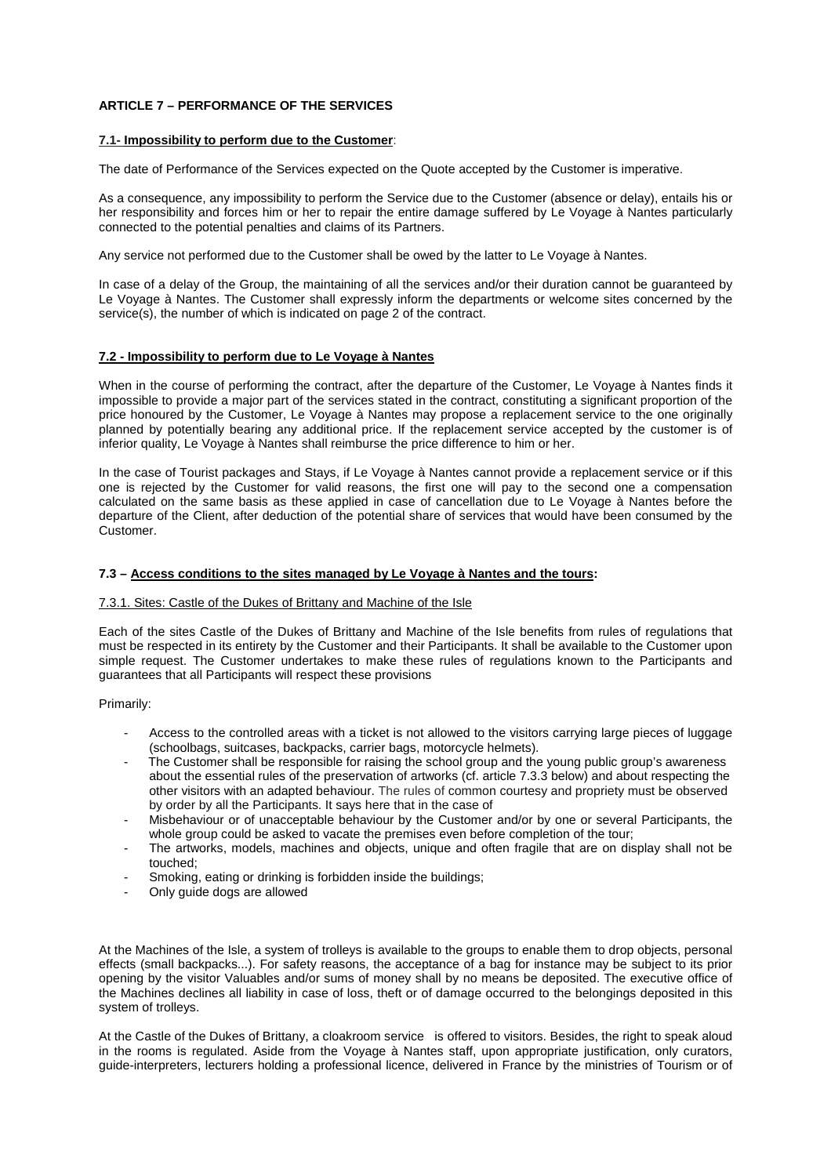# **ARTICLE 7 – PERFORMANCE OF THE SERVICES**

#### **7.1- Impossibility to perform due to the Customer**:

The date of Performance of the Services expected on the Quote accepted by the Customer is imperative.

As a consequence, any impossibility to perform the Service due to the Customer (absence or delay), entails his or her responsibility and forces him or her to repair the entire damage suffered by Le Voyage à Nantes particularly connected to the potential penalties and claims of its Partners.

Any service not performed due to the Customer shall be owed by the latter to Le Voyage à Nantes.

In case of a delay of the Group, the maintaining of all the services and/or their duration cannot be guaranteed by Le Voyage à Nantes. The Customer shall expressly inform the departments or welcome sites concerned by the service(s), the number of which is indicated on page 2 of the contract.

#### **7.2 - Impossibility to perform due to Le Voyage à Nantes**

When in the course of performing the contract, after the departure of the Customer, Le Voyage à Nantes finds it impossible to provide a major part of the services stated in the contract, constituting a significant proportion of the price honoured by the Customer, Le Voyage à Nantes may propose a replacement service to the one originally planned by potentially bearing any additional price. If the replacement service accepted by the customer is of inferior quality, Le Voyage à Nantes shall reimburse the price difference to him or her.

In the case of Tourist packages and Stays, if Le Voyage à Nantes cannot provide a replacement service or if this one is rejected by the Customer for valid reasons, the first one will pay to the second one a compensation calculated on the same basis as these applied in case of cancellation due to Le Voyage à Nantes before the departure of the Client, after deduction of the potential share of services that would have been consumed by the Customer.

### **7.3 – Access conditions to the sites managed by Le Voyage à Nantes and the tours:**

#### 7.3.1. Sites: Castle of the Dukes of Brittany and Machine of the Isle

Each of the sites Castle of the Dukes of Brittany and Machine of the Isle benefits from rules of regulations that must be respected in its entirety by the Customer and their Participants. It shall be available to the Customer upon simple request. The Customer undertakes to make these rules of regulations known to the Participants and guarantees that all Participants will respect these provisions

Primarily:

- Access to the controlled areas with a ticket is not allowed to the visitors carrying large pieces of luggage (schoolbags, suitcases, backpacks, carrier bags, motorcycle helmets).
- The Customer shall be responsible for raising the school group and the young public group's awareness about the essential rules of the preservation of artworks (cf. article 7.3.3 below) and about respecting the other visitors with an adapted behaviour. The rules of common courtesy and propriety must be observed by order by all the Participants. It says here that in the case of
- Misbehaviour or of unacceptable behaviour by the Customer and/or by one or several Participants, the whole group could be asked to vacate the premises even before completion of the tour;
- The artworks, models, machines and objects, unique and often fragile that are on display shall not be touched;
- Smoking, eating or drinking is forbidden inside the buildings;
- Only guide dogs are allowed

At the Machines of the Isle, a system of trolleys is available to the groups to enable them to drop objects, personal effects (small backpacks...). For safety reasons, the acceptance of a bag for instance may be subject to its prior opening by the visitor Valuables and/or sums of money shall by no means be deposited. The executive office of the Machines declines all liability in case of loss, theft or of damage occurred to the belongings deposited in this system of trolleys.

At the Castle of the Dukes of Brittany, a cloakroom service is offered to visitors. Besides, the right to speak aloud in the rooms is regulated. Aside from the Voyage à Nantes staff, upon appropriate justification, only curators, guide-interpreters, lecturers holding a professional licence, delivered in France by the ministries of Tourism or of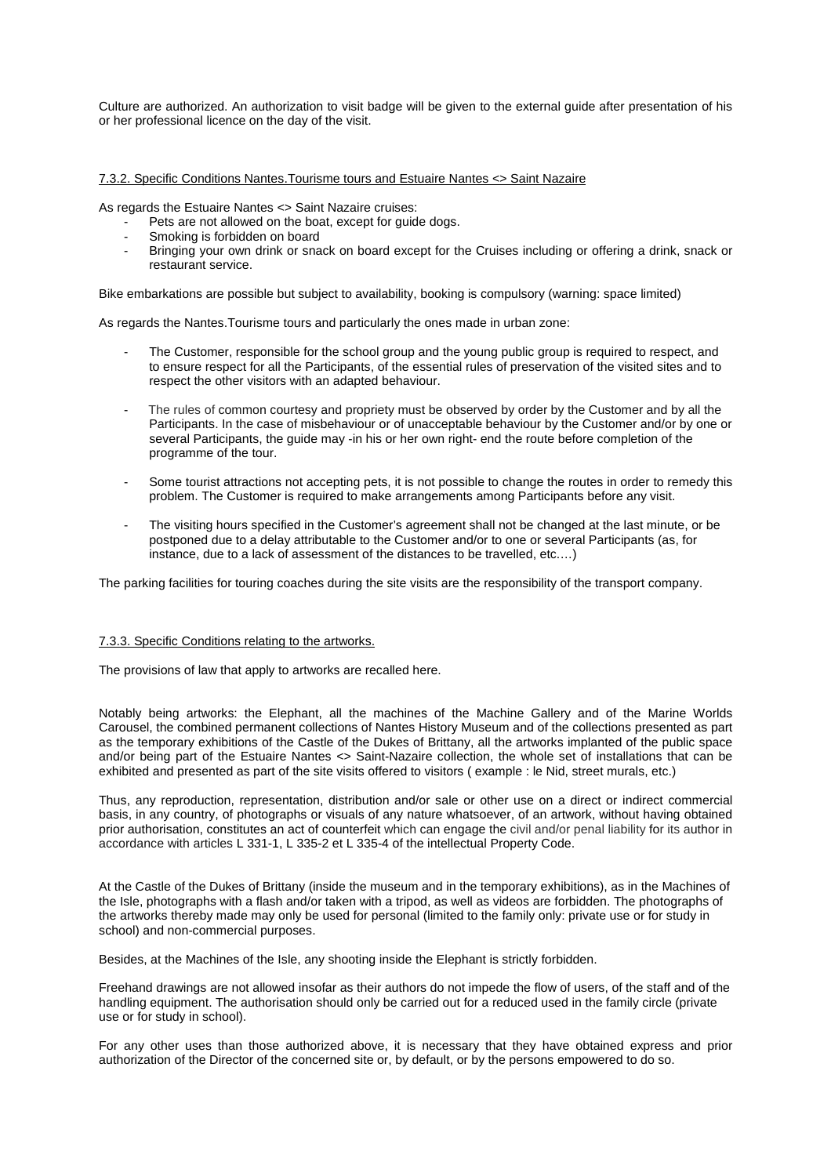Culture are authorized. An authorization to visit badge will be given to the external guide after presentation of his or her professional licence on the day of the visit.

### 7.3.2. Specific Conditions Nantes.Tourisme tours and Estuaire Nantes <> Saint Nazaire

As regards the Estuaire Nantes <> Saint Nazaire cruises:

- Pets are not allowed on the boat, except for guide dogs.
- Smoking is forbidden on board
- Bringing your own drink or snack on board except for the Cruises including or offering a drink, snack or restaurant service.

Bike embarkations are possible but subject to availability, booking is compulsory (warning: space limited)

As regards the Nantes.Tourisme tours and particularly the ones made in urban zone:

- The Customer, responsible for the school group and the young public group is required to respect, and to ensure respect for all the Participants, of the essential rules of preservation of the visited sites and to respect the other visitors with an adapted behaviour.
- The rules of common courtesy and propriety must be observed by order by the Customer and by all the Participants. In the case of misbehaviour or of unacceptable behaviour by the Customer and/or by one or several Participants, the guide may -in his or her own right- end the route before completion of the programme of the tour.
- Some tourist attractions not accepting pets, it is not possible to change the routes in order to remedy this problem. The Customer is required to make arrangements among Participants before any visit.
- The visiting hours specified in the Customer's agreement shall not be changed at the last minute, or be postponed due to a delay attributable to the Customer and/or to one or several Participants (as, for instance, due to a lack of assessment of the distances to be travelled, etc.…)

The parking facilities for touring coaches during the site visits are the responsibility of the transport company.

#### 7.3.3. Specific Conditions relating to the artworks.

The provisions of law that apply to artworks are recalled here.

Notably being artworks: the Elephant, all the machines of the Machine Gallery and of the Marine Worlds Carousel, the combined permanent collections of Nantes History Museum and of the collections presented as part as the temporary exhibitions of the Castle of the Dukes of Brittany, all the artworks implanted of the public space and/or being part of the Estuaire Nantes <> Saint-Nazaire collection, the whole set of installations that can be exhibited and presented as part of the site visits offered to visitors ( example : le Nid, street murals, etc.)

Thus, any reproduction, representation, distribution and/or sale or other use on a direct or indirect commercial basis, in any country, of photographs or visuals of any nature whatsoever, of an artwork, without having obtained prior authorisation, constitutes an act of counterfeit which can engage the civil and/or penal liability for its author in accordance with articles L 331-1, L 335-2 et L 335-4 of the intellectual Property Code.

At the Castle of the Dukes of Brittany (inside the museum and in the temporary exhibitions), as in the Machines of the Isle, photographs with a flash and/or taken with a tripod, as well as videos are forbidden. The photographs of the artworks thereby made may only be used for personal (limited to the family only: private use or for study in school) and non-commercial purposes.

Besides, at the Machines of the Isle, any shooting inside the Elephant is strictly forbidden.

Freehand drawings are not allowed insofar as their authors do not impede the flow of users, of the staff and of the handling equipment. The authorisation should only be carried out for a reduced used in the family circle (private use or for study in school).

For any other uses than those authorized above, it is necessary that they have obtained express and prior authorization of the Director of the concerned site or, by default, or by the persons empowered to do so.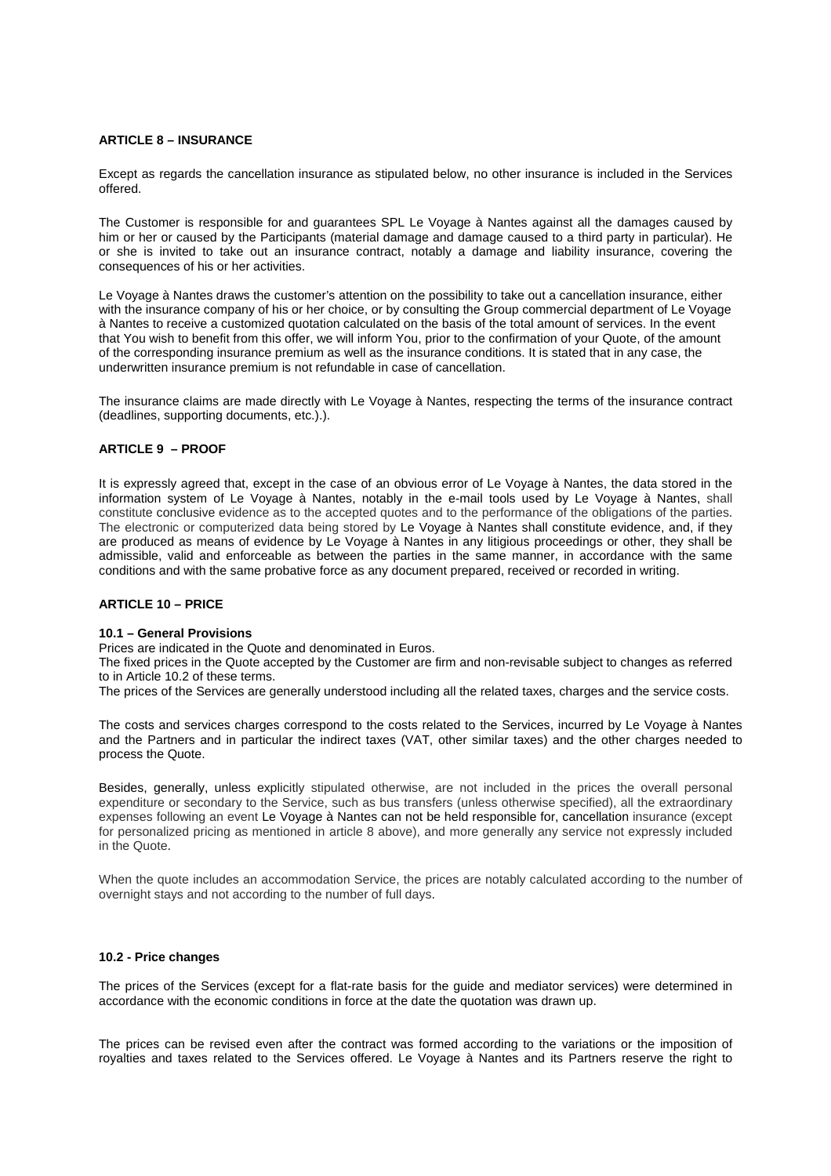### **ARTICLE 8 – INSURANCE**

Except as regards the cancellation insurance as stipulated below, no other insurance is included in the Services offered.

The Customer is responsible for and guarantees SPL Le Voyage à Nantes against all the damages caused by him or her or caused by the Participants (material damage and damage caused to a third party in particular). He or she is invited to take out an insurance contract, notably a damage and liability insurance, covering the consequences of his or her activities.

Le Voyage à Nantes draws the customer's attention on the possibility to take out a cancellation insurance, either with the insurance company of his or her choice, or by consulting the Group commercial department of Le Voyage à Nantes to receive a customized quotation calculated on the basis of the total amount of services. In the event that You wish to benefit from this offer, we will inform You, prior to the confirmation of your Quote, of the amount of the corresponding insurance premium as well as the insurance conditions. It is stated that in any case, the underwritten insurance premium is not refundable in case of cancellation.

The insurance claims are made directly with Le Voyage à Nantes, respecting the terms of the insurance contract (deadlines, supporting documents, etc.).).

## **ARTICLE 9 – PROOF**

It is expressly agreed that, except in the case of an obvious error of Le Voyage à Nantes, the data stored in the information system of Le Voyage à Nantes, notably in the e-mail tools used by Le Voyage à Nantes, shall constitute conclusive evidence as to the accepted quotes and to the performance of the obligations of the parties. The electronic or computerized data being stored by Le Voyage à Nantes shall constitute evidence, and, if they are produced as means of evidence by Le Voyage à Nantes in any litigious proceedings or other, they shall be admissible, valid and enforceable as between the parties in the same manner, in accordance with the same conditions and with the same probative force as any document prepared, received or recorded in writing.

# **ARTICLE 10 – PRICE**

### **10.1 – General Provisions**

Prices are indicated in the Quote and denominated in Euros.

The fixed prices in the Quote accepted by the Customer are firm and non-revisable subject to changes as referred to in Article 10.2 of these terms.

The prices of the Services are generally understood including all the related taxes, charges and the service costs.

The costs and services charges correspond to the costs related to the Services, incurred by Le Voyage à Nantes and the Partners and in particular the indirect taxes (VAT, other similar taxes) and the other charges needed to process the Quote.

Besides, generally, unless explicitly stipulated otherwise, are not included in the prices the overall personal expenditure or secondary to the Service, such as bus transfers (unless otherwise specified), all the extraordinary expenses following an event Le Voyage à Nantes can not be held responsible for, cancellation insurance (except for personalized pricing as mentioned in article 8 above), and more generally any service not expressly included in the Quote.

When the quote includes an accommodation Service, the prices are notably calculated according to the number of overnight stays and not according to the number of full days.

## **10.2 - Price changes**

The prices of the Services (except for a flat-rate basis for the guide and mediator services) were determined in accordance with the economic conditions in force at the date the quotation was drawn up.

The prices can be revised even after the contract was formed according to the variations or the imposition of royalties and taxes related to the Services offered. Le Voyage à Nantes and its Partners reserve the right to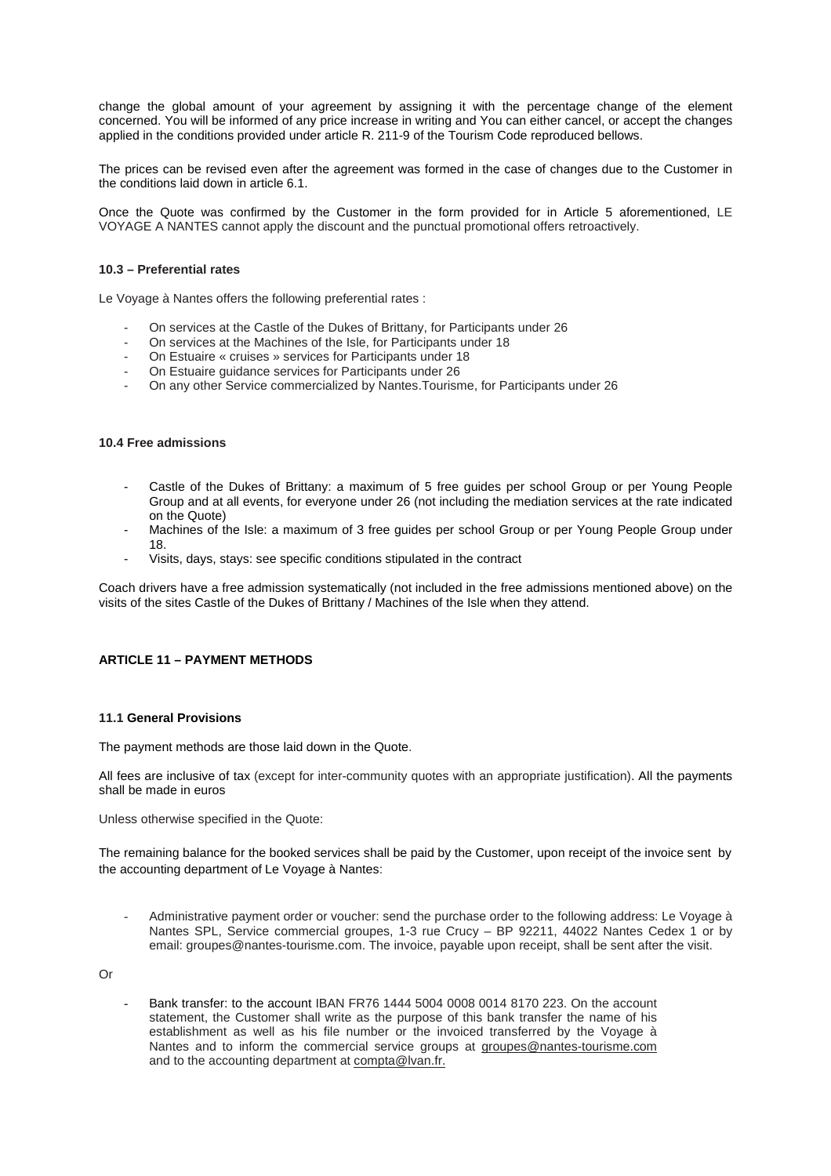change the global amount of your agreement by assigning it with the percentage change of the element concerned. You will be informed of any price increase in writing and You can either cancel, or accept the changes applied in the conditions provided under article R. 211-9 of the Tourism Code reproduced bellows.

The prices can be revised even after the agreement was formed in the case of changes due to the Customer in the conditions laid down in article 6.1.

Once the Quote was confirmed by the Customer in the form provided for in Article 5 aforementioned, LE VOYAGE A NANTES cannot apply the discount and the punctual promotional offers retroactively.

#### **10.3 – Preferential rates**

Le Voyage à Nantes offers the following preferential rates :

- On services at the Castle of the Dukes of Brittany, for Participants under 26
- On services at the Machines of the Isle, for Participants under 18
- On Estuaire « cruises » services for Participants under 18
- On Estuaire guidance services for Participants under 26
- On any other Service commercialized by Nantes.Tourisme, for Participants under 26

#### **10.4 Free admissions**

- Castle of the Dukes of Brittany: a maximum of 5 free guides per school Group or per Young People Group and at all events, for everyone under 26 (not including the mediation services at the rate indicated on the Quote)
- Machines of the Isle: a maximum of 3 free guides per school Group or per Young People Group under 18.
- Visits, days, stays: see specific conditions stipulated in the contract

Coach drivers have a free admission systematically (not included in the free admissions mentioned above) on the visits of the sites Castle of the Dukes of Brittany / Machines of the Isle when they attend.

# **ARTICLE 11 – PAYMENT METHODS**

### **11.1 General Provisions**

The payment methods are those laid down in the Quote.

All fees are inclusive of tax (except for inter-community quotes with an appropriate justification). All the payments shall be made in euros

Unless otherwise specified in the Quote:

The remaining balance for the booked services shall be paid by the Customer, upon receipt of the invoice sent by the accounting department of Le Voyage à Nantes:

Administrative payment order or voucher: send the purchase order to the following address: Le Voyage à Nantes SPL, Service commercial groupes, 1-3 rue Crucy – BP 92211, 44022 Nantes Cedex 1 or by email: groupes@nantes-tourisme.com. The invoice, payable upon receipt, shall be sent after the visit.

Or

- Bank transfer: to the account IBAN FR76 1444 5004 0008 0014 8170 223. On the account statement, the Customer shall write as the purpose of this bank transfer the name of his establishment as well as his file number or the invoiced transferred by the Voyage à Nantes and to inform the commercial service groups at groupes@nantes-tourisme.com and to the accounting department at compta@lvan.fr.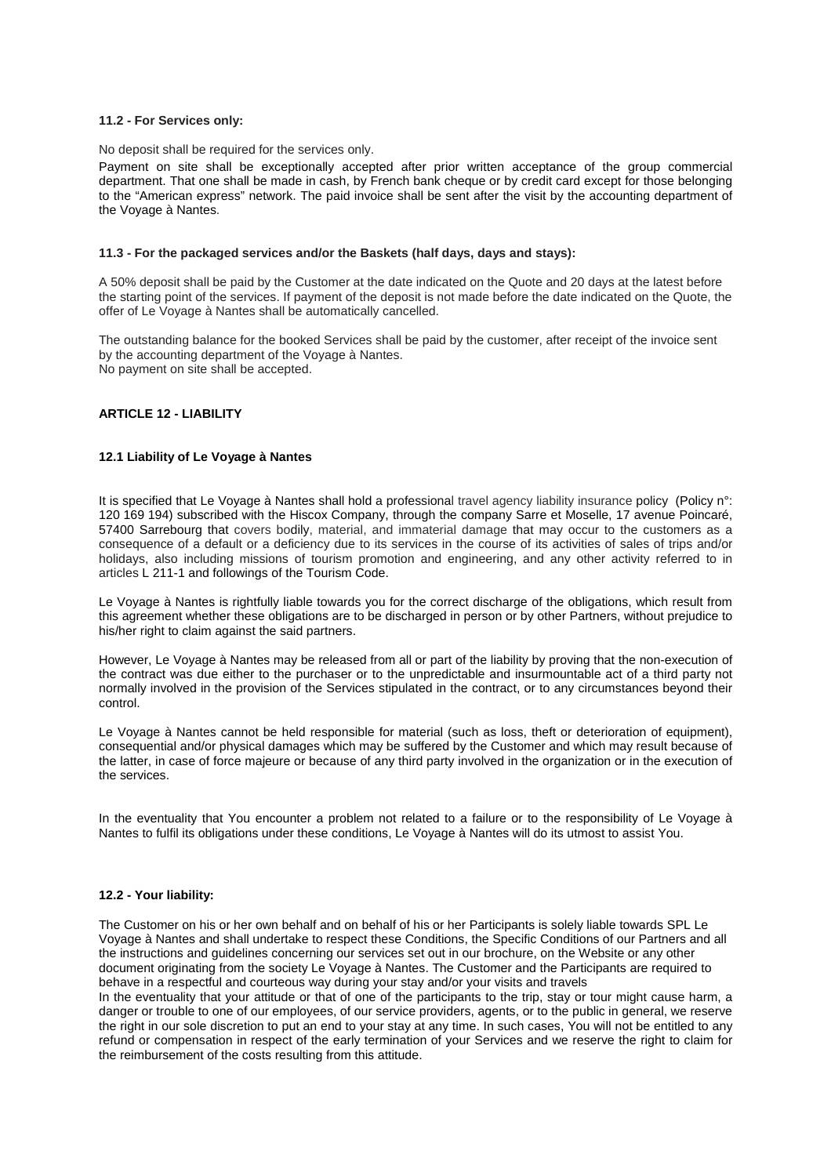#### **11.2 - For Services only:**

No deposit shall be required for the services only.

Payment on site shall be exceptionally accepted after prior written acceptance of the group commercial department. That one shall be made in cash, by French bank cheque or by credit card except for those belonging to the "American express" network. The paid invoice shall be sent after the visit by the accounting department of the Voyage à Nantes.

## **11.3 - For the packaged services and/or the Baskets (half days, days and stays):**

A 50% deposit shall be paid by the Customer at the date indicated on the Quote and 20 days at the latest before the starting point of the services. If payment of the deposit is not made before the date indicated on the Quote, the offer of Le Voyage à Nantes shall be automatically cancelled.

The outstanding balance for the booked Services shall be paid by the customer, after receipt of the invoice sent by the accounting department of the Voyage à Nantes. No payment on site shall be accepted.

## **ARTICLE 12 - LIABILITY**

### **12.1 Liability of Le Voyage à Nantes**

It is specified that Le Voyage à Nantes shall hold a professional travel agency liability insurance policy (Policy n°: 120 169 194) subscribed with the Hiscox Company, through the company Sarre et Moselle, 17 avenue Poincaré, 57400 Sarrebourg that covers bodily, material, and immaterial damage that may occur to the customers as a consequence of a default or a deficiency due to its services in the course of its activities of sales of trips and/or holidays, also including missions of tourism promotion and engineering, and any other activity referred to in articles L 211-1 and followings of the Tourism Code.

Le Voyage à Nantes is rightfully liable towards you for the correct discharge of the obligations, which result from this agreement whether these obligations are to be discharged in person or by other Partners, without prejudice to his/her right to claim against the said partners.

However, Le Voyage à Nantes may be released from all or part of the liability by proving that the non-execution of the contract was due either to the purchaser or to the unpredictable and insurmountable act of a third party not normally involved in the provision of the Services stipulated in the contract, or to any circumstances beyond their control.

Le Voyage à Nantes cannot be held responsible for material (such as loss, theft or deterioration of equipment), consequential and/or physical damages which may be suffered by the Customer and which may result because of the latter, in case of force majeure or because of any third party involved in the organization or in the execution of the services.

In the eventuality that You encounter a problem not related to a failure or to the responsibility of Le Voyage à Nantes to fulfil its obligations under these conditions, Le Voyage à Nantes will do its utmost to assist You.

### **12.2 - Your liability:**

The Customer on his or her own behalf and on behalf of his or her Participants is solely liable towards SPL Le Voyage à Nantes and shall undertake to respect these Conditions, the Specific Conditions of our Partners and all the instructions and guidelines concerning our services set out in our brochure, on the Website or any other document originating from the society Le Voyage à Nantes. The Customer and the Participants are required to behave in a respectful and courteous way during your stay and/or your visits and travels

In the eventuality that your attitude or that of one of the participants to the trip, stay or tour might cause harm, a danger or trouble to one of our employees, of our service providers, agents, or to the public in general, we reserve the right in our sole discretion to put an end to your stay at any time. In such cases, You will not be entitled to any refund or compensation in respect of the early termination of your Services and we reserve the right to claim for the reimbursement of the costs resulting from this attitude.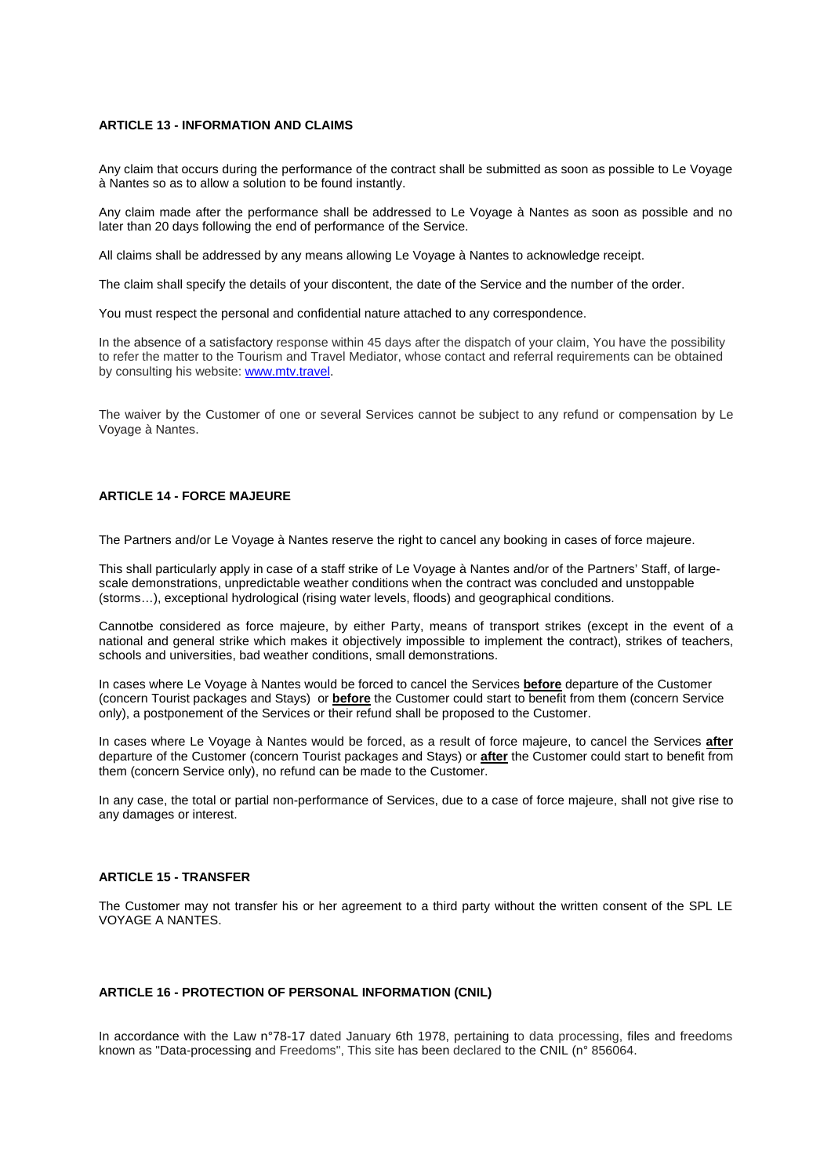#### **ARTICLE 13 - INFORMATION AND CLAIMS**

Any claim that occurs during the performance of the contract shall be submitted as soon as possible to Le Voyage à Nantes so as to allow a solution to be found instantly.

Any claim made after the performance shall be addressed to Le Voyage à Nantes as soon as possible and no later than 20 days following the end of performance of the Service.

All claims shall be addressed by any means allowing Le Voyage à Nantes to acknowledge receipt.

The claim shall specify the details of your discontent, the date of the Service and the number of the order.

You must respect the personal and confidential nature attached to any correspondence.

In the absence of a satisfactory response within 45 days after the dispatch of your claim, You have the possibility to refer the matter to the Tourism and Travel Mediator, whose contact and referral requirements can be obtained by consulting his website: www.mtv.travel.

The waiver by the Customer of one or several Services cannot be subject to any refund or compensation by Le Voyage à Nantes.

# **ARTICLE 14 - FORCE MAJEURE**

The Partners and/or Le Voyage à Nantes reserve the right to cancel any booking in cases of force majeure.

This shall particularly apply in case of a staff strike of Le Voyage à Nantes and/or of the Partners' Staff, of largescale demonstrations, unpredictable weather conditions when the contract was concluded and unstoppable (storms…), exceptional hydrological (rising water levels, floods) and geographical conditions.

Cannotbe considered as force majeure, by either Party, means of transport strikes (except in the event of a national and general strike which makes it objectively impossible to implement the contract), strikes of teachers, schools and universities, bad weather conditions, small demonstrations.

In cases where Le Voyage à Nantes would be forced to cancel the Services **before** departure of the Customer (concern Tourist packages and Stays) or **before** the Customer could start to benefit from them (concern Service only), a postponement of the Services or their refund shall be proposed to the Customer.

In cases where Le Voyage à Nantes would be forced, as a result of force majeure, to cancel the Services **after** departure of the Customer (concern Tourist packages and Stays) or **after** the Customer could start to benefit from them (concern Service only), no refund can be made to the Customer.

In any case, the total or partial non-performance of Services, due to a case of force majeure, shall not give rise to any damages or interest.

## **ARTICLE 15 - TRANSFER**

The Customer may not transfer his or her agreement to a third party without the written consent of the SPL LE VOYAGE A NANTES.

## **ARTICLE 16 - PROTECTION OF PERSONAL INFORMATION (CNIL)**

In accordance with the Law n°78-17 dated January 6th 1978, pertaining to data processing, files and freedoms known as "Data-processing and Freedoms", This site has been declared to the CNIL (n° 856064.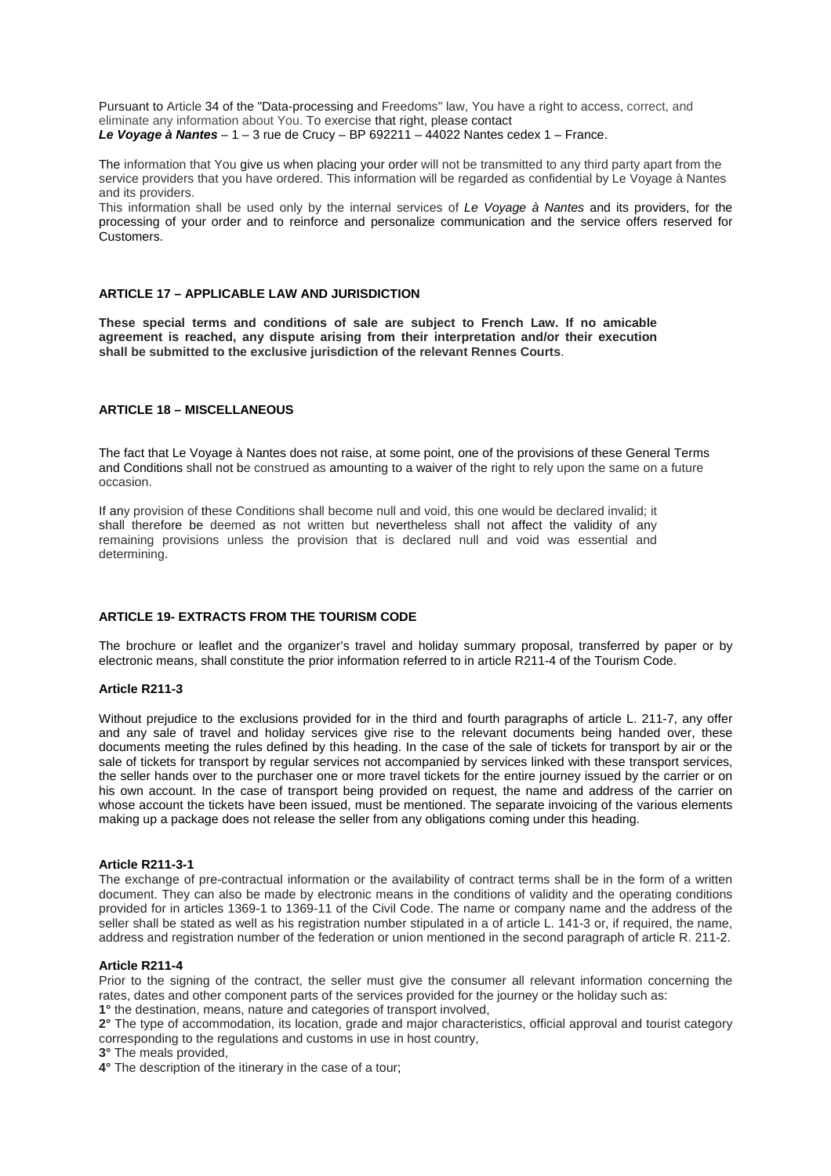**Le Voyage à Nantes** – 1 – 3 rue de Crucy – BP 692211 – 44022 Nantes cedex 1 – France. Pursuant to Article 34 of the "Data-processing and Freedoms" law, You have a right to access, correct, and eliminate any information about You. To exercise that right, please contact

The information that You give us when placing your order will not be transmitted to any third party apart from the service providers that you have ordered. This information will be regarded as confidential by Le Voyage à Nantes and its providers.

This information shall be used only by the internal services of Le Voyage à Nantes and its providers, for the processing of your order and to reinforce and personalize communication and the service offers reserved for Customers.

### **ARTICLE 17 – APPLICABLE LAW AND JURISDICTION**

**These special terms and conditions of sale are subject to French Law. If no amicable agreement is reached, any dispute arising from their interpretation and/or their execution shall be submitted to the exclusive jurisdiction of the relevant Rennes Courts**.

# **ARTICLE 18 – MISCELLANEOUS**

The fact that Le Voyage à Nantes does not raise, at some point, one of the provisions of these General Terms and Conditions shall not be construed as amounting to a waiver of the right to rely upon the same on a future occasion.

If any provision of these Conditions shall become null and void, this one would be declared invalid; it shall therefore be deemed as not written but nevertheless shall not affect the validity of any remaining provisions unless the provision that is declared null and void was essential and determining.

# **ARTICLE 19- EXTRACTS FROM THE TOURISM CODE**

The brochure or leaflet and the organizer's travel and holiday summary proposal, transferred by paper or by electronic means, shall constitute the prior information referred to in article R211-4 of the Tourism Code.

### **Article R211-3**

Without prejudice to the exclusions provided for in the third and fourth paragraphs of article L. 211-7, any offer and any sale of travel and holiday services give rise to the relevant documents being handed over, these documents meeting the rules defined by this heading. In the case of the sale of tickets for transport by air or the sale of tickets for transport by regular services not accompanied by services linked with these transport services, the seller hands over to the purchaser one or more travel tickets for the entire journey issued by the carrier or on his own account. In the case of transport being provided on request, the name and address of the carrier on whose account the tickets have been issued, must be mentioned. The separate invoicing of the various elements making up a package does not release the seller from any obligations coming under this heading.

### **Article R211-3-1**

The exchange of pre-contractual information or the availability of contract terms shall be in the form of a written document. They can also be made by electronic means in the conditions of validity and the operating conditions provided for in articles 1369-1 to 1369-11 of the Civil Code. The name or company name and the address of the seller shall be stated as well as his registration number stipulated in a of article L. 141-3 or, if required, the name, address and registration number of the federation or union mentioned in the second paragraph of article R. 211-2.

#### **Article R211-4**

Prior to the signing of the contract, the seller must give the consumer all relevant information concerning the rates, dates and other component parts of the services provided for the journey or the holiday such as: **1°** the destination, means, nature and categories of transport involved,

**2°** The type of accommodation, its location, grade and major characteristics, official approval and tourist category corresponding to the regulations and customs in use in host country,

**3°** The meals provided,

**4°** The description of the itinerary in the case of a tour;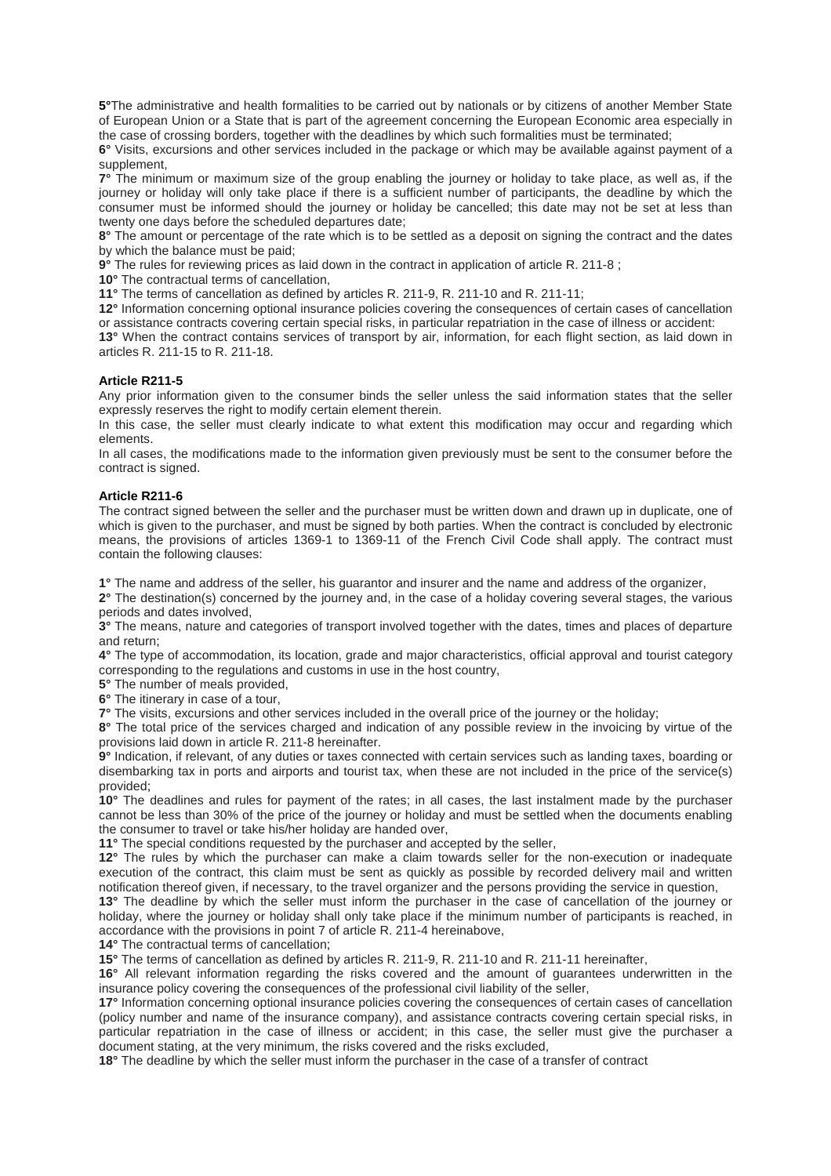**5°**The administrative and health formalities to be carried out by nationals or by citizens of another Member State of European Union or a State that is part of the agreement concerning the European Economic area especially in the case of crossing borders, together with the deadlines by which such formalities must be terminated;

**6°** Visits, excursions and other services included in the package or which may be available against payment of a supplement,

**7°** The minimum or maximum size of the group enabling the journey or holiday to take place, as well as, if the journey or holiday will only take place if there is a sufficient number of participants, the deadline by which the consumer must be informed should the journey or holiday be cancelled; this date may not be set at less than twenty one days before the scheduled departures date;

**8°** The amount or percentage of the rate which is to be settled as a deposit on signing the contract and the dates by which the balance must be paid;

**9°** The rules for reviewing prices as laid down in the contract in application of article R. 211-8 ;

**10°** The contractual terms of cancellation,

**11°** The terms of cancellation as defined by articles R. 211-9, R. 211-10 and R. 211-11;

**12°** Information concerning optional insurance policies covering the consequences of certain cases of cancellation or assistance contracts covering certain special risks, in particular repatriation in the case of illness or accident:

**13°** When the contract contains services of transport by air, information, for each flight section, as laid down in articles R. 211-15 to R. 211-18.

## **Article R211-5**

Any prior information given to the consumer binds the seller unless the said information states that the seller expressly reserves the right to modify certain element therein.

In this case, the seller must clearly indicate to what extent this modification may occur and regarding which elements.

In all cases, the modifications made to the information given previously must be sent to the consumer before the contract is signed.

### **Article R211-6**

The contract signed between the seller and the purchaser must be written down and drawn up in duplicate, one of which is given to the purchaser, and must be signed by both parties. When the contract is concluded by electronic means, the provisions of articles 1369-1 to 1369-11 of the French Civil Code shall apply. The contract must contain the following clauses:

**1°** The name and address of the seller, his guarantor and insurer and the name and address of the organizer,

**2°** The destination(s) concerned by the journey and, in the case of a holiday covering several stages, the various periods and dates involved,

**3°** The means, nature and categories of transport involved together with the dates, times and places of departure and return;

**4°** The type of accommodation, its location, grade and major characteristics, official approval and tourist category corresponding to the regulations and customs in use in the host country,

**5°** The number of meals provided,

**6°** The itinerary in case of a tour,

**7°** The visits, excursions and other services included in the overall price of the journey or the holiday;

**8°** The total price of the services charged and indication of any possible review in the invoicing by virtue of the provisions laid down in article R. 211-8 hereinafter.

**9°** Indication, if relevant, of any duties or taxes connected with certain services such as landing taxes, boarding or disembarking tax in ports and airports and tourist tax, when these are not included in the price of the service(s) provided;

**10°** The deadlines and rules for payment of the rates; in all cases, the last instalment made by the purchaser cannot be less than 30% of the price of the journey or holiday and must be settled when the documents enabling the consumer to travel or take his/her holiday are handed over,

**11°** The special conditions requested by the purchaser and accepted by the seller,

**12°** The rules by which the purchaser can make a claim towards seller for the non-execution or inadequate execution of the contract, this claim must be sent as quickly as possible by recorded delivery mail and written notification thereof given, if necessary, to the travel organizer and the persons providing the service in question,

**13°** The deadline by which the seller must inform the purchaser in the case of cancellation of the journey or holiday, where the journey or holiday shall only take place if the minimum number of participants is reached, in accordance with the provisions in point 7 of article R. 211-4 hereinabove,

**14°** The contractual terms of cancellation;

**15°** The terms of cancellation as defined by articles R. 211-9, R. 211-10 and R. 211-11 hereinafter,

**16°** All relevant information regarding the risks covered and the amount of guarantees underwritten in the insurance policy covering the consequences of the professional civil liability of the seller,

**17°** Information concerning optional insurance policies covering the consequences of certain cases of cancellation (policy number and name of the insurance company), and assistance contracts covering certain special risks, in particular repatriation in the case of illness or accident; in this case, the seller must give the purchaser a document stating, at the very minimum, the risks covered and the risks excluded,

**18°** The deadline by which the seller must inform the purchaser in the case of a transfer of contract